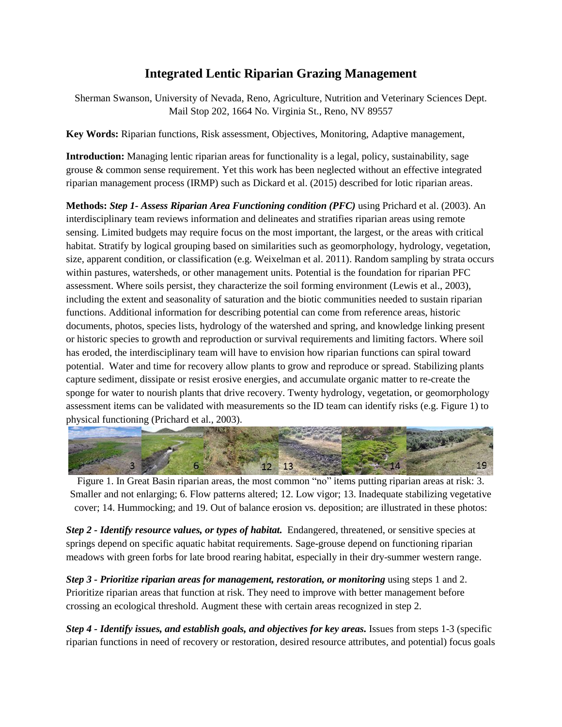## **Integrated Lentic Riparian Grazing Management**

Sherman Swanson, University of Nevada, Reno, Agriculture, Nutrition and Veterinary Sciences Dept. Mail Stop 202, 1664 No. Virginia St., Reno, NV 89557

**Key Words:** Riparian functions, Risk assessment, Objectives, Monitoring, Adaptive management,

**Introduction:** Managing lentic riparian areas for functionality is a legal, policy, sustainability, sage grouse & common sense requirement. Yet this work has been neglected without an effective integrated riparian management process (IRMP) such as Dickard et al. (2015) described for lotic riparian areas.

**Methods:** *Step 1- Assess Riparian Area Functioning condition (PFC)* using Prichard et al. (2003). An interdisciplinary team reviews information and delineates and stratifies riparian areas using remote sensing. Limited budgets may require focus on the most important, the largest, or the areas with critical habitat. Stratify by logical grouping based on similarities such as geomorphology, hydrology, vegetation, size, apparent condition, or classification (e.g. Weixelman et al. 2011). Random sampling by strata occurs within pastures, watersheds, or other management units. Potential is the foundation for riparian PFC assessment. Where soils persist, they characterize the soil forming environment (Lewis et al., 2003), including the extent and seasonality of saturation and the biotic communities needed to sustain riparian functions. Additional information for describing potential can come from reference areas, historic documents, photos, species lists, hydrology of the watershed and spring, and knowledge linking present or historic species to growth and reproduction or survival requirements and limiting factors. Where soil has eroded, the interdisciplinary team will have to envision how riparian functions can spiral toward potential. Water and time for recovery allow plants to grow and reproduce or spread. Stabilizing plants capture sediment, dissipate or resist erosive energies, and accumulate organic matter to re-create the sponge for water to nourish plants that drive recovery. Twenty hydrology, vegetation, or geomorphology assessment items can be validated with measurements so the ID team can identify risks (e.g. Figure 1) to physical functioning (Prichard et al., 2003).



Figure 1. In Great Basin riparian areas, the most common "no" items putting riparian areas at risk: 3. Smaller and not enlarging; 6. Flow patterns altered; 12. Low vigor; 13. Inadequate stabilizing vegetative cover; 14. Hummocking; and 19. Out of balance erosion vs. deposition; are illustrated in these photos:

*Step 2 - Identify resource values, or types of habitat.* Endangered, threatened, or sensitive species at springs depend on specific aquatic habitat requirements. Sage-grouse depend on functioning riparian meadows with green forbs for late brood rearing habitat, especially in their dry-summer western range.

*Step 3 - Prioritize riparian areas for management, restoration, or monitoring* using steps 1 and 2. Prioritize riparian areas that function at risk. They need to improve with better management before crossing an ecological threshold. Augment these with certain areas recognized in step 2.

*Step 4 - Identify issues, and establish goals, and objectives for key areas.* Issues from steps 1-3 (specific riparian functions in need of recovery or restoration, desired resource attributes, and potential) focus goals